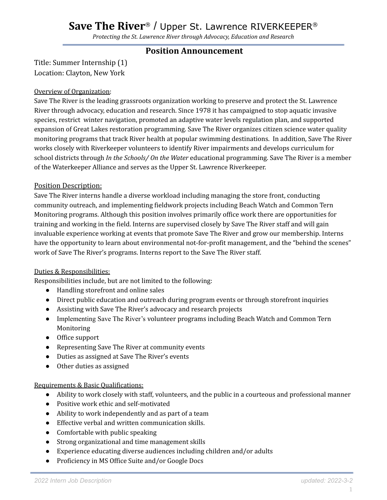# **Save The River**® / Upper St. Lawrence RIVERKEEPER ®

*Protecting the St. Lawrence River through Advocacy, Education and Research*

## **Position Announcement**

Title: Summer Internship (1) Location: Clayton, New York

### Overview of Organization:

Save The River is the leading grassroots organization working to preserve and protect the St. Lawrence River through advocacy, education and research. Since 1978 it has campaigned to stop aquatic invasive species, restrict winter navigation, promoted an adaptive water levels regulation plan, and supported expansion of Great Lakes restoration programming. Save The River organizes citizen science water quality monitoring programs that track River health at popular swimming destinations. In addition, Save The River works closely with Riverkeeper volunteers to identify River impairments and develops curriculum for school districts through *In the Schools/ On the Water* educational programming. Save The River is a member of the Waterkeeper Alliance and serves as the Upper St. Lawrence Riverkeeper.

### Position Description:

Save The River interns handle a diverse workload including managing the store front, conducting community outreach, and implementing fieldwork projects including Beach Watch and Common Tern Monitoring programs. Although this position involves primarily office work there are opportunities for training and working in the field. Interns are supervised closely by Save The River staff and will gain invaluable experience working at events that promote Save The River and grow our membership. Interns have the opportunity to learn about environmental not-for-profit management, and the "behind the scenes" work of Save The River's programs. Interns report to the Save The River staff.

#### Duties & Responsibilities:

Responsibilities include, but are not limited to the following:

- Handling storefront and online sales
- Direct public education and outreach during program events or through storefront inquiries
- Assisting with Save The River's advocacy and research projects
- Implementing Save The River's volunteer programs including Beach Watch and Common Tern Monitoring
- Office support
- Representing Save The River at community events
- Duties as assigned at Save The River's events
- Other duties as assigned

#### Requirements & Basic Qualifications:

- Ability to work closely with staff, volunteers, and the public in a courteous and professional manner
- Positive work ethic and self-motivated
- Ability to work independently and as part of a team
- Effective verbal and written communication skills.
- Comfortable with public speaking
- Strong organizational and time management skills
- Experience educating diverse audiences including children and/or adults
- Proficiency in MS Office Suite and/or Google Docs